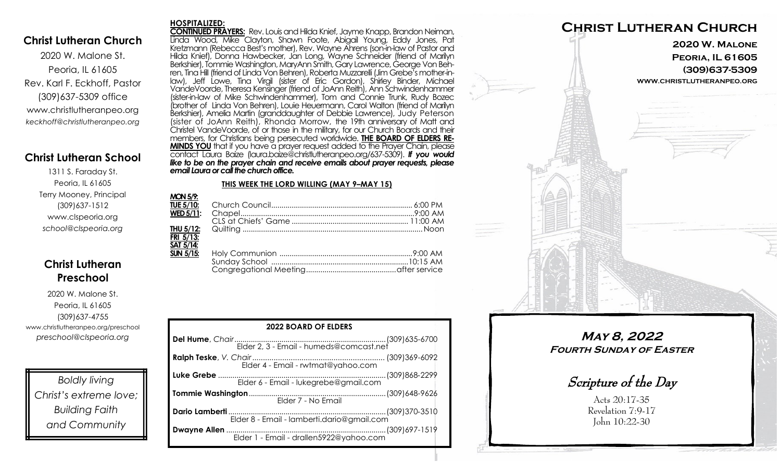### **Christ Lutheran Church**

2020 W. Malone St. Peoria, IL 61605 Rev. Karl F. Eckhoff, Pastor (309)637-5309 office www.christlutheranpeo.org *keckhoff@christlutheranpeo.org*

## **Christ Lutheran School**

1311 S. Faraday St. Peoria, IL 61605 Terry Mooney, Principal (309)637-1512 www.clspeoria.org *school@clspeoria.org*

# **Christ Lutheran Preschool**

2020 W. Malone St. Peoria, IL 61605 (309)637-4755 www.christlutheranpeo.org/preschool *preschool@clspeoria.org*

*Boldly living Christ's extreme love; Building Faith and Community*

#### **HOSPITALIZED:**

**CONTINUED PRAYERS:** Rev. Louis and Hilda Knief, Jayme Knapp, Brandon Neiman, Linda Wood, Mike Clayton, Shawn Foote, Abigail Young, Eddy Jones, Pat Kretzmann (Rebecca Best's mother), Rev. Wayne Ahrens (son-in-law of Pastor and Hilda Knief), Donna Hawbecker, Jan Long, Wayne Schneider (friend of Marilyn Berkshier), Tommie Washington, MaryAnn Smith, Gary Lawrence, George Von Behren, Tina Hill (friend of Linda Von Behren), Roberta Muzzarelli (Jim Grebe's mother-inlaw), Jeff Lowe, Tina Virgil (sister of Eric Gordon), Shirley Binder, Michael VandeVoorde, Theresa Kensinger (friend of JoAnn Reith), Ann Schwindenhammer (sister-in-law of Mike Schwindenhammer), Tom and Connie Trunk, Rudy Bozec (brother of Linda Von Behren), Louie Heuermann, Carol Walton (friend of Marilyn Berkshier), Amelia Martin (granddaughter of Debbie Lawrence), Judy Peterson (sister of JoAnn Reith), Rhonda Morrow, the 19th anniversary of Matt and Christel VandeVoorde, of or those in the military, for our Church Boards and their members, for Christians being persecuted worldwide. **THE BOARD OF ELDERS RE-MINDS YOU** that if you have a prayer request added to the Prayer Chain, please contact Laura Baize (laura.baize@christlutheranpeo.org/637-5309). *If you would*  like to be on the prayer chain and receive emails about prayer requests, please *email Laura or call the church office.*

#### **THIS WEEK THE LORD WILLING (MAY 9–MAY 15)**

| <b>MON 5/9:</b>                |  |
|--------------------------------|--|
| <b>TUE 5/10:</b>               |  |
| $\overline{\text{WED }5/11}$ : |  |
|                                |  |
| THU 5/12:                      |  |
| FRI 5/13:                      |  |
| SAT 5/14:                      |  |
| $SUN$ 5/15:                    |  |
|                                |  |
|                                |  |

| <b>2022 BOARD OF ELDERS</b>                |  |  |  |
|--------------------------------------------|--|--|--|
|                                            |  |  |  |
| Elder 4 - Email - rwtmat@yahoo.com         |  |  |  |
|                                            |  |  |  |
| Elder 7 - No Email                         |  |  |  |
| Elder 8 - Email - lamberti.dario@gmail.com |  |  |  |
|                                            |  |  |  |



**May 8, 2022 Fourth Sunday of Easter**

Scripture of the Day

Acts 20:17-35 Revelation 7:9-17 John 10:22-30